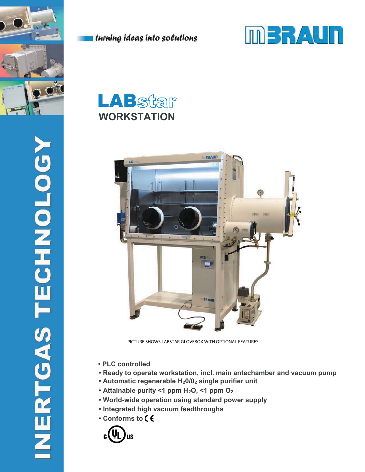

turning ideas into solutions







PICTURE SHOWS LABSTAR GLOVEBOX WITH OPTIONAL FEATURES

- **PLC controlled**
- **Ready to operate workstation, incl. main antechamber and vacuum pump**
- **Automatic regenerable H20/02 single purifier unit**
- Attainable purity <1 ppm H<sub>2</sub>O, <1 ppm O<sub>2</sub>
- **World-wide operation using standard power supply**
- **Integrated high vacuum feedthroughs**
- **Conforms to**

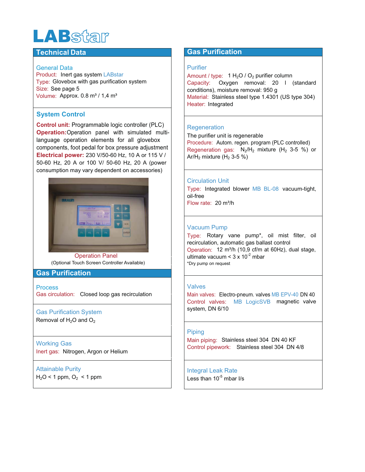# **LAB**star

### **Technical Data**

#### General Data

Product: Inert gas system LABstar Type: Glovebox with gas purification system Size: See page 5 Volume: Approx.  $0.8$  m<sup>3</sup> /  $1.4$  m<sup>3</sup>

#### **System Control**

**Control unit:** Programmable logic controller (PLC) **Operation: Operation panel with simulated multi**language operation elements for all glovebox components, foot pedal for box pressure adjustment **Electrical power:** 230 V/50-60 Hz, 10 A or 115 V / 50-60 Hz, 20 A or 100 V/ 50-60 Hz, 20 A (power consumption may vary dependent on accessories)



Operation Panel (Optional Touch Screen Controller Available)

### **Gas Purification**

Process

Gas circulation: Closed loop gas recirculation

Gas Purification System Removal of  $H<sub>2</sub>O$  and  $O<sub>2</sub>$ 

#### Working Gas

Inert gas: Nitrogen, Argon or Helium

#### Attainable Purity

 $H<sub>2</sub>O < 1$  ppm,  $O<sub>2</sub> < 1$  ppm

#### **Gas Purification**

#### Purifier

Amount / type:  $1 H<sub>2</sub>O$  /  $O<sub>2</sub>$  purifier column Capacity: Oxygen removal: 20 l (standard conditions), moisture removal: 950 g Material: Stainless steel type 1.4301 (US type 304) Heater: Integrated

#### **Regeneration**

The purifier unit is regenerable Procedure: Autom. regen. program (PLC controlled) Regeneration gas:  $N_2/H_2$  mixture (H<sub>2</sub> 3-5 %) or  $Ar/H<sub>2</sub>$  mixture (H<sub>2</sub> 3-5 %)

#### Circulation Unit

Type: Integrated blower MB BL-08 vacuum-tight, oil-free

Flow rate: 20 m<sup>3</sup>/h

#### Vacuum Pump

Type: Rotary vane pump\*, oil mist filter, oil recirculation, automatic gas ballast control Operation: 12 m<sup>3</sup>/h (10,9 cf/m at 60Hz), dual stage, ultimate vacuum  $\leq 3 \times 10^{-2}$  mbar \*Dry pump on request

#### Valves

Main valves: Electro-pneum. valves MB EPV-40 DN 40 Control valves: MB LogicSVB magnetic valve system, DN 6/10

#### Piping

Main piping: Stainless steel 304 DN 40 KF Control pipework: Stainless steel 304 DN 4/8

## Integral Leak Rate

Less than  $10^{-5}$  mbar I/s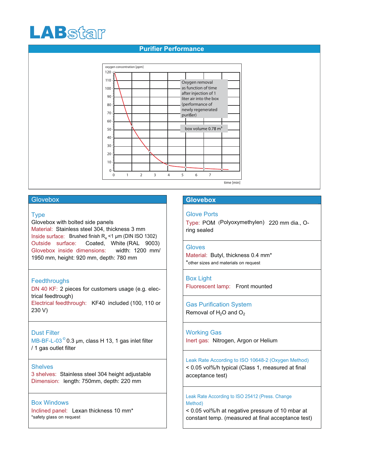

#### **Purifier Performance**



#### **Glovebox**

#### Type

Glovebox with bolted side panels Material: Stainless steel 304, thickness 3 mm Inside surface: Brushed finish  $R_a$  <1  $\mu$ m (DIN ISO 1302) Outside surface: Coated, White (RAL 9003) Glovebox inside dimensions: width: 1200 mm/ 1950 mm, height: 920 mm, depth: 780 mm

#### **Feedthroughs**

DN 40 KF: 2 pieces for customers usage (e.g. electrical feedtrough) Electrical feedthrough: KF40 included (100, 110 or

230 V)

#### Dust Filter

MB-BF-L-03 $^{\circ}$ 0.3 µm, class H 13, 1 gas inlet filter / 1 gas outlet filter

#### **Shelves**

3 shelves: Stainless steel 304 height adjustable Dimension: length: 750mm, depth: 220 mm

#### Box Windows

Inclined panel: Lexan thickness 10 mm\* \*safety glass on request

#### **Glovebox Glovebox**

#### Glove Ports

Type: POM (Polyoxymethylen) 220 mm dia., Oring sealed

#### **Gloves**

Material: Butyl, thickness 0.4 mm\* \*other sizes and materials on request

Box Light Fluorescent lamp: Front mounted

Gas Purification System Removal of  $H_2O$  and  $O_2$ 

Working Gas Inert gas: Nitrogen, Argon or Helium

Leak Rate According to ISO 10648-2 (Oxygen Method) < 0.05 vol%/h typical (Class 1, measured at final acceptance test)

Leak Rate According to ISO 25412 (Press. Change Method)

< 0.05 vol%/h at negative pressure of 10 mbar at constant temp. (measured at final acceptance test)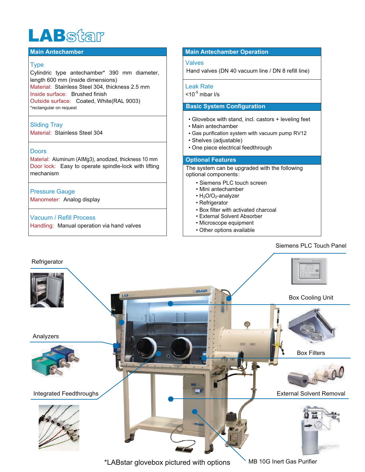# **LAB**star

#### Type

Cylindric type antechamber\* 390 mm diameter, length 600 mm (inside dimensions) Material: Stainless Steel 304, thickness 2.5 mm Inside surface: Brushed finish Outside surface: Coated, White(RAL 9003) \*rectangular on request

#### Sliding Tray

Material: Stainless Steel 304

#### **Doors**

Material: Aluminum (AIMg3), anodized, thickness 10 mm Door lock: Easy to operate spindle-lock with lifting mechanism

#### Pressure Gauge

Manometer: Analog display

#### Vacuum / Refill Process

Handling: Manual operation via hand valves

# **Main Antechamber Main Antechamber Operation**

#### Valves

Hand valves (DN 40 vacuum line / DN 8 refill line)

#### Leak Rate

 $<$ 10<sup>-5</sup> mbar  $\frac{1}{s}$ 

## **Basic System Configuration**

- Glovebox with stand, incl. castors + leveling feet
- Main antechamber
- Gas purification system with vacuum pump RV12
- Shelves (adjustable)
- One piece electrical feedthrough

**The system can be upgraded with the following** optional components:

- Siemens PLC touch screen
- Mini antechamber
- $\cdot$  H<sub>2</sub>O/O<sub>2</sub>-analyzer
- Refrigerator
- Box filter with activated charcoal
- External Solvent Absorber
- Microscope equipment
- Other options available

#### Siemens PLC Touch Panel